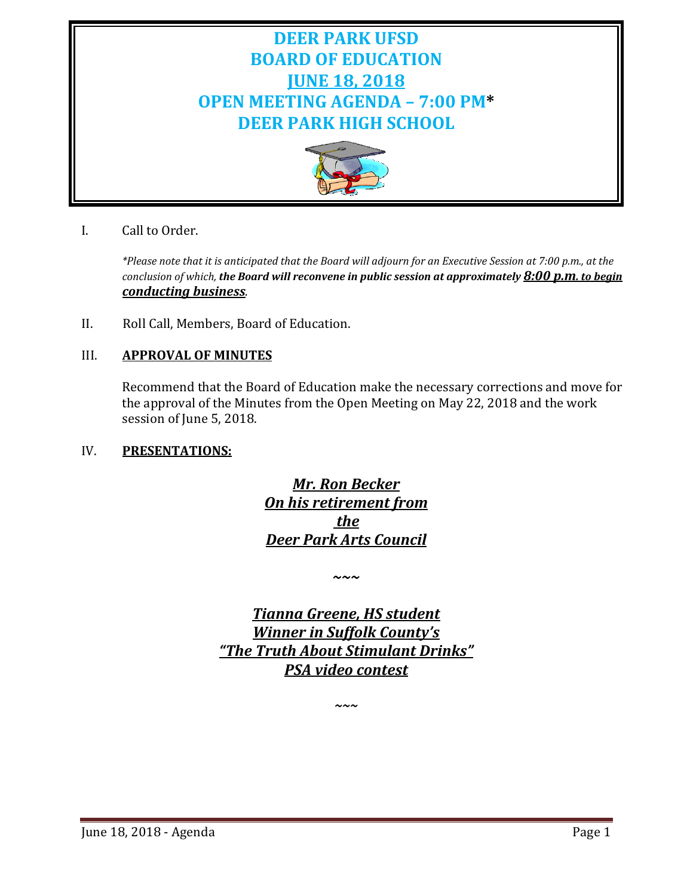# **DEER PARK UFSD BOARD OF EDUCATION JUNE 18, 2018 OPEN MEETING AGENDA – 7:00 PM\* DEER PARK HIGH SCHOOL**



I. Call to Order.

*\*Please note that it is anticipated that the Board will adjourn for an Executive Session at 7:00 p.m., at the conclusion of which, the Board will reconvene in public session at approximately 8:00 p.m. to begin conducting business.*

II. Roll Call, Members, Board of Education.

### III. **APPROVAL OF MINUTES**

Recommend that the Board of Education make the necessary corrections and move for the approval of the Minutes from the Open Meeting on May 22, 2018 and the work session of June 5, 2018.

#### IV. **PRESENTATIONS:**

*Mr. Ron Becker On his retirement from the Deer Park Arts Council*

*~~~*

*Tianna Greene, HS student Winner in Suffolk County's "The Truth About Stimulant Drinks" PSA video contest*

*~~~*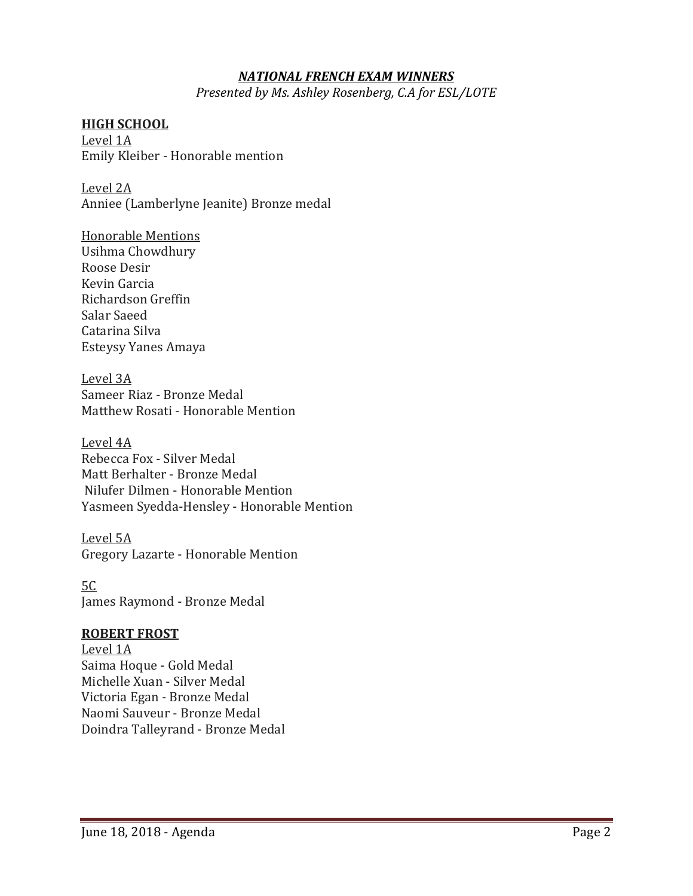#### *NATIONAL FRENCH EXAM WINNERS*

*Presented by Ms. Ashley Rosenberg, C.A for ESL/LOTE*

#### **HIGH SCHOOL**

Level 1A Emily Kleiber - Honorable mention

Level 2A Anniee (Lamberlyne Jeanite) Bronze medal

Honorable Mentions Usihma Chowdhury Roose Desir Kevin Garcia Richardson Greffin Salar Saeed Catarina Silva Esteysy Yanes Amaya

Level 3A Sameer Riaz - Bronze Medal Matthew Rosati - Honorable Mention

Level 4A Rebecca Fox - Silver Medal Matt Berhalter - Bronze Medal Nilufer Dilmen - Honorable Mention Yasmeen Syedda-Hensley - Honorable Mention

Level 5A Gregory Lazarte - Honorable Mention

5C James Raymond - Bronze Medal

#### **ROBERT FROST**

Level 1A Saima Hoque - Gold Medal Michelle Xuan - Silver Medal Victoria Egan - Bronze Medal Naomi Sauveur - Bronze Medal Doindra Talleyrand - Bronze Medal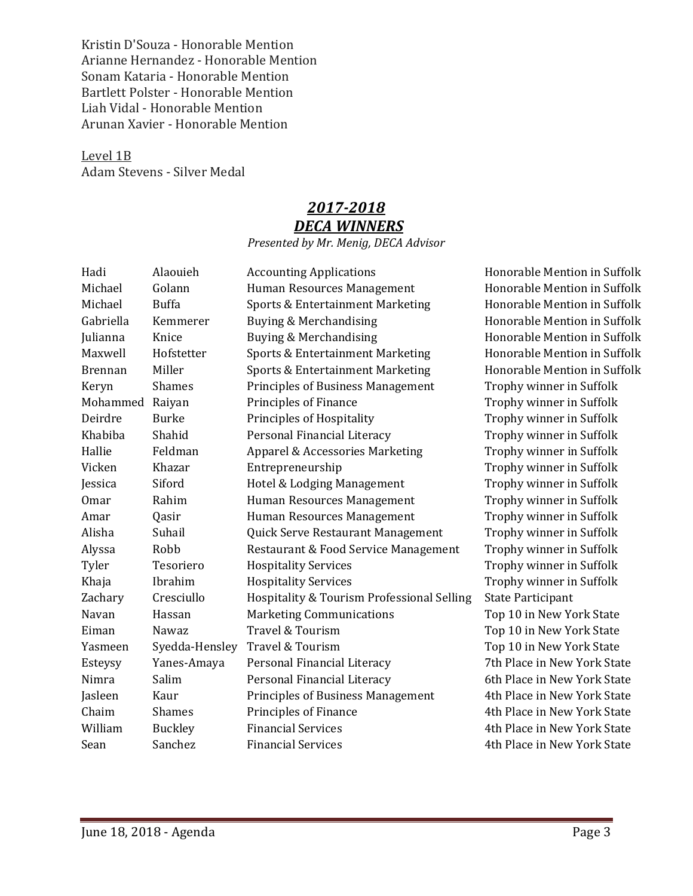Kristin D'Souza - Honorable Mention Arianne Hernandez - Honorable Mention Sonam Kataria - Honorable Mention Bartlett Polster - Honorable Mention Liah Vidal - Honorable Mention Arunan Xavier - Honorable Mention

Level 1B Adam Stevens - Silver Medal

# *2017-2018 DECA WINNERS*

### *Presented by Mr. Menig, DECA Advisor*

| Hadi           | Alaouieh       | <b>Accounting Applications</b>             | Honorable Mention in Suffolk |
|----------------|----------------|--------------------------------------------|------------------------------|
| Michael        | Golann         | Human Resources Management                 | Honorable Mention in Suffolk |
| Michael        | <b>Buffa</b>   | Sports & Entertainment Marketing           | Honorable Mention in Suffolk |
| Gabriella      | Kemmerer       | Buying & Merchandising                     | Honorable Mention in Suffolk |
| Julianna       | Knice          | Buying & Merchandising                     | Honorable Mention in Suffolk |
| Maxwell        | Hofstetter     | Sports & Entertainment Marketing           | Honorable Mention in Suffolk |
| <b>Brennan</b> | Miller         | Sports & Entertainment Marketing           | Honorable Mention in Suffolk |
| Keryn          | <b>Shames</b>  | <b>Principles of Business Management</b>   | Trophy winner in Suffolk     |
| Mohammed       | Raiyan         | Principles of Finance                      | Trophy winner in Suffolk     |
| Deirdre        | <b>Burke</b>   | Principles of Hospitality                  | Trophy winner in Suffolk     |
| Khabiba        | Shahid         | Personal Financial Literacy                | Trophy winner in Suffolk     |
| Hallie         | Feldman        | Apparel & Accessories Marketing            | Trophy winner in Suffolk     |
| Vicken         | Khazar         | Entrepreneurship                           | Trophy winner in Suffolk     |
| Jessica        | Siford         | Hotel & Lodging Management                 | Trophy winner in Suffolk     |
| <b>Omar</b>    | Rahim          | Human Resources Management                 | Trophy winner in Suffolk     |
| Amar           | Qasir          | Human Resources Management                 | Trophy winner in Suffolk     |
| Alisha         | Suhail         | Quick Serve Restaurant Management          | Trophy winner in Suffolk     |
| Alyssa         | Robb           | Restaurant & Food Service Management       | Trophy winner in Suffolk     |
| Tyler          | Tesoriero      | <b>Hospitality Services</b>                | Trophy winner in Suffolk     |
| Khaja          | Ibrahim        | <b>Hospitality Services</b>                | Trophy winner in Suffolk     |
| Zachary        | Cresciullo     | Hospitality & Tourism Professional Selling | <b>State Participant</b>     |
| Navan          | Hassan         | <b>Marketing Communications</b>            | Top 10 in New York State     |
| Eiman          | Nawaz          | Travel & Tourism                           | Top 10 in New York State     |
| Yasmeen        | Syedda-Hensley | Travel & Tourism                           | Top 10 in New York State     |
| Esteysy        | Yanes-Amaya    | Personal Financial Literacy                | 7th Place in New York State  |
| Nimra          | Salim          | Personal Financial Literacy                | 6th Place in New York State  |
| Jasleen        | Kaur           | <b>Principles of Business Management</b>   | 4th Place in New York State  |
| Chaim          | <b>Shames</b>  | Principles of Finance                      | 4th Place in New York State  |
| William        | <b>Buckley</b> | <b>Financial Services</b>                  | 4th Place in New York State  |
| Sean           | Sanchez        | <b>Financial Services</b>                  | 4th Place in New York State  |
|                |                |                                            |                              |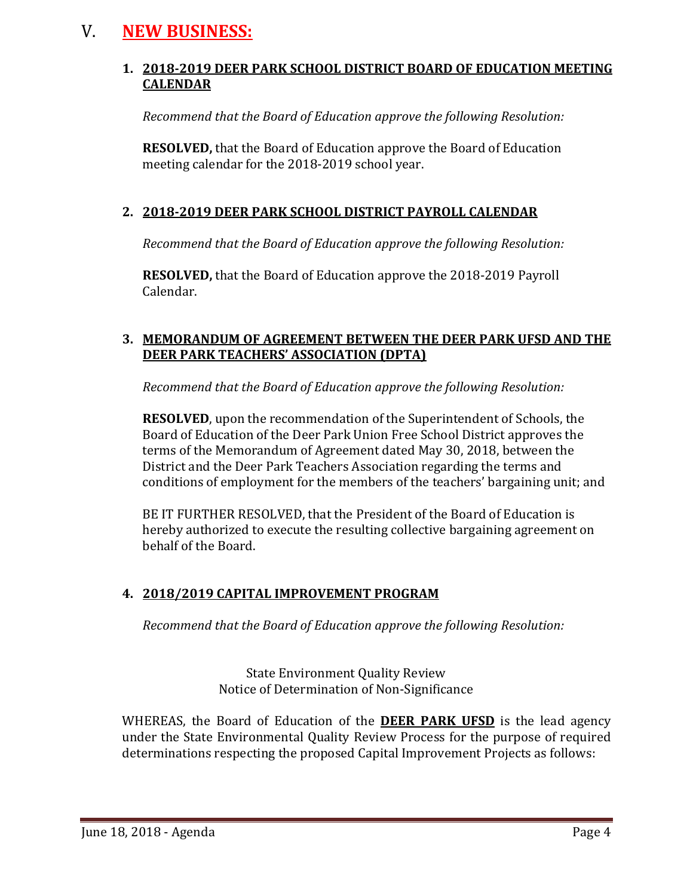# V. **NEW BUSINESS:**

### **1. 2018-2019 DEER PARK SCHOOL DISTRICT BOARD OF EDUCATION MEETING CALENDAR**

*Recommend that the Board of Education approve the following Resolution:*

**RESOLVED,** that the Board of Education approve the Board of Education meeting calendar for the 2018-2019 school year.

### **2. 2018-2019 DEER PARK SCHOOL DISTRICT PAYROLL CALENDAR**

*Recommend that the Board of Education approve the following Resolution:*

**RESOLVED,** that the Board of Education approve the 2018-2019 Payroll Calendar.

### **3. MEMORANDUM OF AGREEMENT BETWEEN THE DEER PARK UFSD AND THE DEER PARK TEACHERS' ASSOCIATION (DPTA)**

*Recommend that the Board of Education approve the following Resolution:*

**RESOLVED**, upon the recommendation of the Superintendent of Schools, the Board of Education of the Deer Park Union Free School District approves the terms of the Memorandum of Agreement dated May 30, 2018, between the District and the Deer Park Teachers Association regarding the terms and conditions of employment for the members of the teachers' bargaining unit; and

BE IT FURTHER RESOLVED, that the President of the Board of Education is hereby authorized to execute the resulting collective bargaining agreement on behalf of the Board.

### **4. 2018/2019 CAPITAL IMPROVEMENT PROGRAM**

*Recommend that the Board of Education approve the following Resolution:*

State Environment Quality Review Notice of Determination of Non-Significance

WHEREAS, the Board of Education of the **DEER PARK UFSD** is the lead agency under the State Environmental Quality Review Process for the purpose of required determinations respecting the proposed Capital Improvement Projects as follows: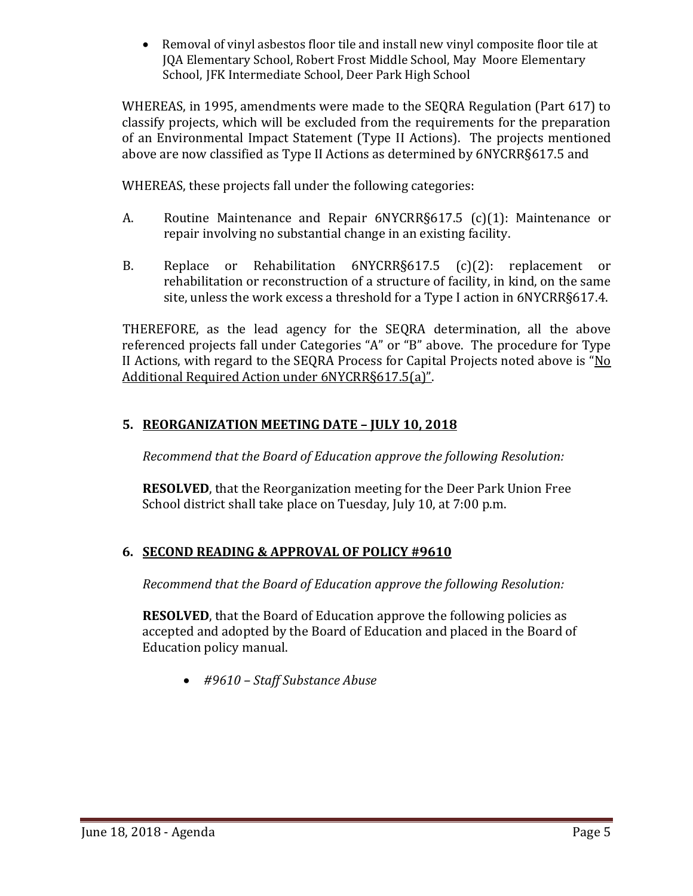• Removal of vinyl asbestos floor tile and install new vinyl composite floor tile at JQA Elementary School, Robert Frost Middle School, May Moore Elementary School, JFK Intermediate School, Deer Park High School

WHEREAS, in 1995, amendments were made to the SEQRA Regulation (Part 617) to classify projects, which will be excluded from the requirements for the preparation of an Environmental Impact Statement (Type II Actions). The projects mentioned above are now classified as Type II Actions as determined by 6NYCRR§617.5 and

WHEREAS, these projects fall under the following categories:

- A. Routine Maintenance and Repair 6NYCRR§617.5 (c)(1): Maintenance or repair involving no substantial change in an existing facility.
- B. Replace or Rehabilitation 6NYCRR§617.5 (c)(2): replacement or rehabilitation or reconstruction of a structure of facility, in kind, on the same site, unless the work excess a threshold for a Type I action in 6NYCRR§617.4.

THEREFORE, as the lead agency for the SEQRA determination, all the above referenced projects fall under Categories "A" or "B" above. The procedure for Type II Actions, with regard to the SEQRA Process for Capital Projects noted above is "No Additional Required Action under 6NYCRR§617.5(a)".

### **5. REORGANIZATION MEETING DATE – JULY 10, 2018**

*Recommend that the Board of Education approve the following Resolution:*

**RESOLVED**, that the Reorganization meeting for the Deer Park Union Free School district shall take place on Tuesday, July 10, at 7:00 p.m.

### **6. SECOND READING & APPROVAL OF POLICY #9610**

*Recommend that the Board of Education approve the following Resolution:*

**RESOLVED**, that the Board of Education approve the following policies as accepted and adopted by the Board of Education and placed in the Board of Education policy manual.

• *#9610 – Staff Substance Abuse*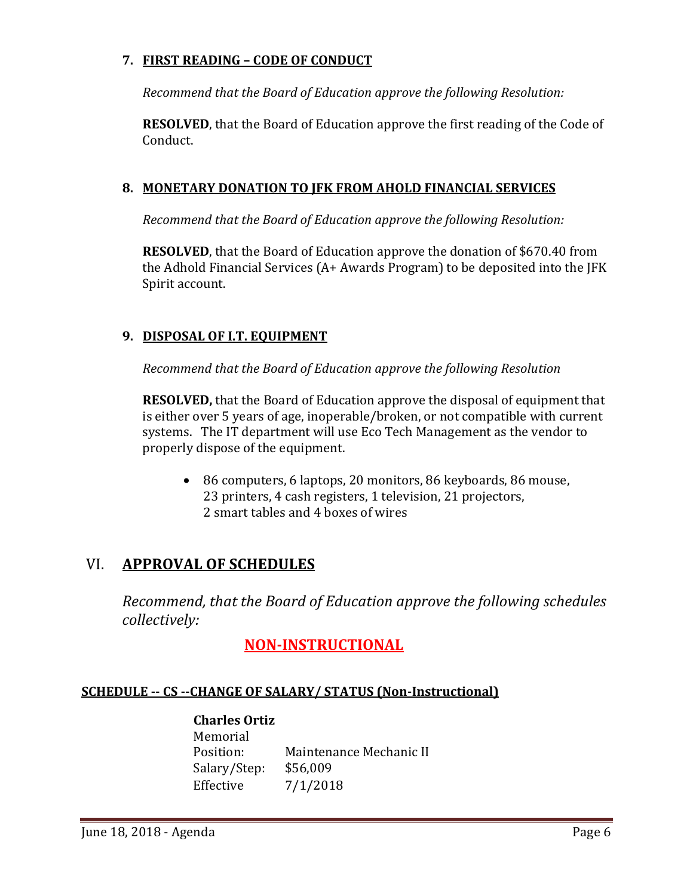### **7. FIRST READING – CODE OF CONDUCT**

*Recommend that the Board of Education approve the following Resolution:*

**RESOLVED**, that the Board of Education approve the first reading of the Code of Conduct.

### **8. MONETARY DONATION TO JFK FROM AHOLD FINANCIAL SERVICES**

*Recommend that the Board of Education approve the following Resolution:*

**RESOLVED**, that the Board of Education approve the donation of \$670.40 from the Adhold Financial Services (A+ Awards Program) to be deposited into the JFK Spirit account.

### **9. DISPOSAL OF I.T. EQUIPMENT**

*Recommend that the Board of Education approve the following Resolution*

**RESOLVED,** that the Board of Education approve the disposal of equipment that is either over 5 years of age, inoperable/broken, or not compatible with current systems. The IT department will use Eco Tech Management as the vendor to properly dispose of the equipment.

• 86 computers, 6 laptops, 20 monitors, 86 keyboards, 86 mouse, 23 printers, 4 cash registers, 1 television, 21 projectors, 2 smart tables and 4 boxes of wires

# VI. **APPROVAL OF SCHEDULES**

*Recommend, that the Board of Education approve the following schedules collectively:*

# **NON-INSTRUCTIONAL**

#### **SCHEDULE -- CS --CHANGE OF SALARY/ STATUS (Non-Instructional)**

#### **Charles Ortiz**

Memorial<br>Position: Maintenance Mechanic II<br>\$56,009 Salary/Step:<br>Effective  $7/1/2018$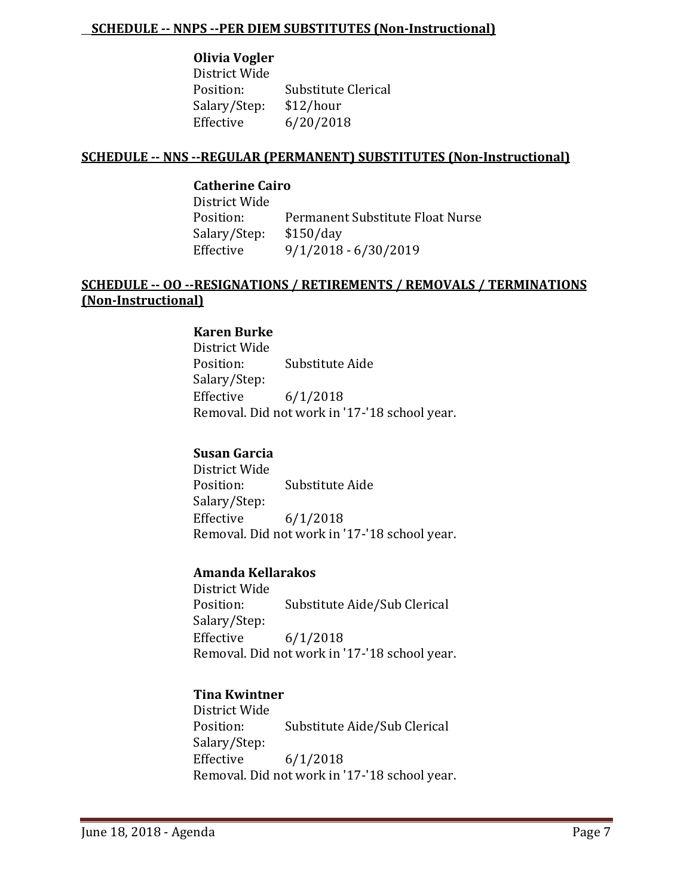#### **SCHEDULE -- NNPS --PER DIEM SUBSTITUTES (Non-Instructional)**

### **Olivia Vogler**

District Wide Substitute Clerical<br>\$12/hour Salary/Step:<br>Effective  $6/20/2018$ 

#### **SCHEDULE -- NNS --REGULAR (PERMANENT) SUBSTITUTES (Non-Instructional)**

### **Catherine Cairo**

District Wide Permanent Substitute Float Nurse<br>\$150/day Salary/Step:<br>Effective Effective 9/1/2018 - 6/30/2019

### **SCHEDULE -- OO --RESIGNATIONS / RETIREMENTS / REMOVALS / TERMINATIONS (Non-Instructional)**

#### **Karen Burke**

District Wide Substitute Aide Salary/Step:  $6/1/2018$ Removal. Did not work in '17-'18 school year.

#### **Susan Garcia**

District Wide Substitute Aide Salary/Step:<br>Effective  $6/1/2018$ Removal. Did not work in '17-'18 school year.

#### **Amanda Kellarakos**

District Wide Substitute Aide/Sub Clerical Salary/Step: Effective 6/1/2018 Removal. Did not work in '17-'18 school year.

#### **Tina Kwintner**

District Wide Substitute Aide/Sub Clerical Salary/Step:<br>Effective  $6/1/2018$ Removal. Did not work in '17-'18 school year.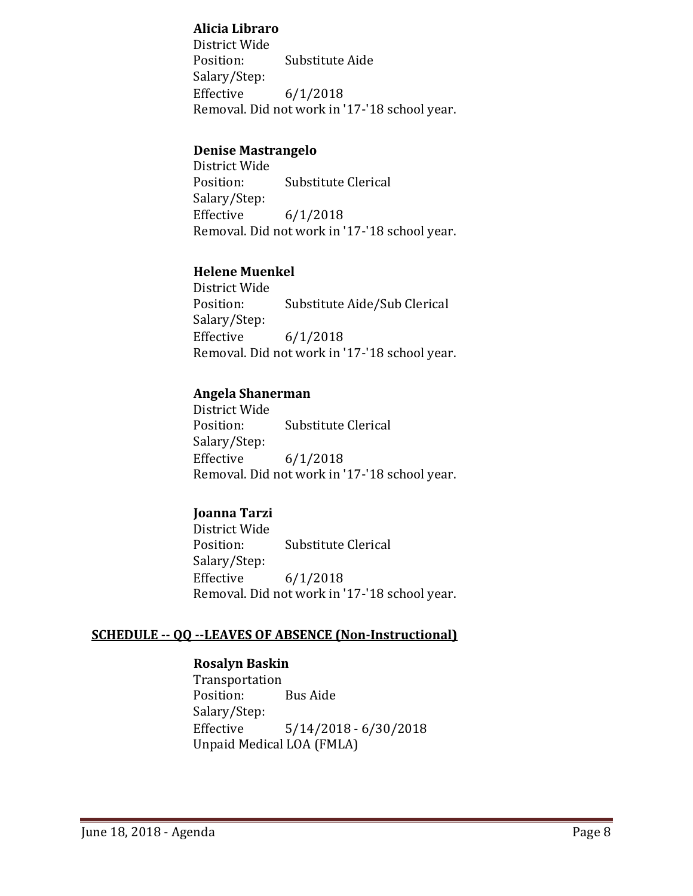#### **Alicia Libraro**

District Wide Substitute Aide Salary/Step:<br>Effective  $6/1/2018$ Removal. Did not work in '17-'18 school year.

#### **Denise Mastrangelo**

District Wide Substitute Clerical Salary/Step: Effective 6/1/2018 Removal. Did not work in '17-'18 school year.

#### **Helene Muenkel**

District Wide Substitute Aide/Sub Clerical Salary/Step:  $6/1/2018$ Removal. Did not work in '17-'18 school year.

#### **Angela Shanerman**

District Wide Substitute Clerical Salary/Step: Effective 6/1/2018 Removal. Did not work in '17-'18 school year.

#### **Joanna Tarzi**

District Wide Substitute Clerical Salary/Step:  $6/1/2018$ Removal. Did not work in '17-'18 school year.

#### **SCHEDULE -- QQ --LEAVES OF ABSENCE (Non-Instructional)**

#### **Rosalyn Baskin**

Transportation Position: Bus Aide Salary/Step:  $5/14/2018 - 6/30/2018$ Unpaid Medical LOA (FMLA)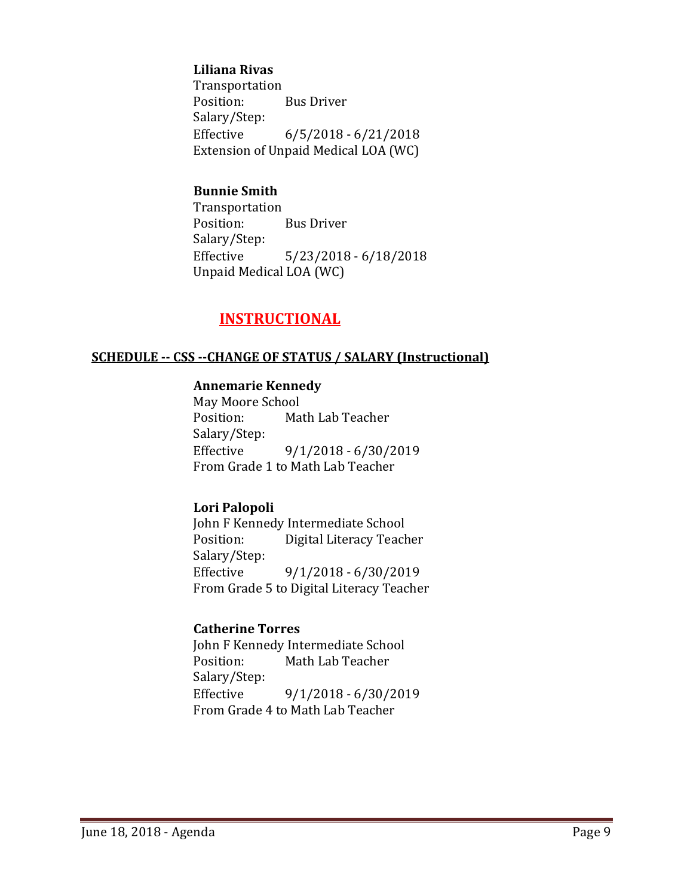#### **Liliana Rivas**

Transportation<br>Position: **Bus Driver** Salary/Step:  $6/5/2018 - 6/21/2018$ Extension of Unpaid Medical LOA (WC)

### **Bunnie Smith**

Transportation **Bus Driver** Salary/Step:  $5/23/2018 - 6/18/2018$ Unpaid Medical LOA (WC)

# **INSTRUCTIONAL**

#### **SCHEDULE -- CSS --CHANGE OF STATUS / SALARY (Instructional)**

#### **Annemarie Kennedy**

May Moore School<br>Position: Ma Math Lab Teacher Salary/Step:  $9/1/2018 - 6/30/2019$ From Grade 1 to Math Lab Teacher

#### **Lori Palopoli**

John F Kennedy Intermediate School<br>Position: Digital Literacy Teach Digital Literacy Teacher Salary/Step:<br>Effective Effective 9/1/2018 - 6/30/2019 From Grade 5 to Digital Literacy Teacher

### **Catherine Torres**

John F Kennedy Intermediate School<br>Position: Math Lab Teacher Math Lab Teacher Salary/Step:<br>Effective  $9/1/2018 - 6/30/2019$ From Grade 4 to Math Lab Teacher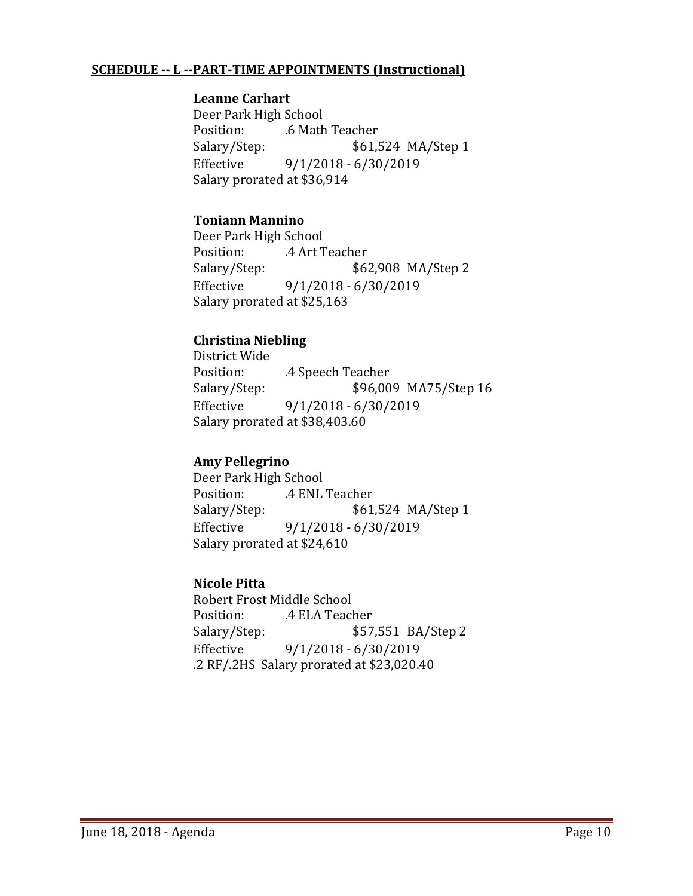### **SCHEDULE -- L --PART-TIME APPOINTMENTS (Instructional)**

#### **Leanne Carhart**

Deer Park High School Position: .6 Math Teacher<br>Salary/Step: \$61,5 \$61,524 MA/Step 1 Effective 9/1/2018 - 6/30/2019 Salary prorated at \$36,914

### **Toniann Mannino**

Deer Park High School Position: .4 Art Teacher<br>Salary/Step: \$62 \$62,908 MA/Step 2 Effective 9/1/2018 - 6/30/2019 Salary prorated at \$25,163

### **Christina Niebling**

District Wide Position: .extlement A Speech Teacher<br>Salary/Step: \$96,00 \$96,009 MA75/Step 16 Effective 9/1/2018 - 6/30/2019 Salary prorated at \$38,403.60

### **Amy Pellegrino**

Deer Park High School Position: .4 ENL Teacher<br>Salary/Step: \$61 \$61,524 MA/Step 1 Effective 9/1/2018 - 6/30/2019 Salary prorated at \$24,610

#### **Nicole Pitta**

Robert Frost Middle School<br>Position: 4 ELA Teacl Position: .4 ELA Teacher<br>Salary/Step: \$57 \$57,551 BA/Step 2 Effective 9/1/2018 - 6/30/2019 .2 RF/.2HS Salary prorated at \$23,020.40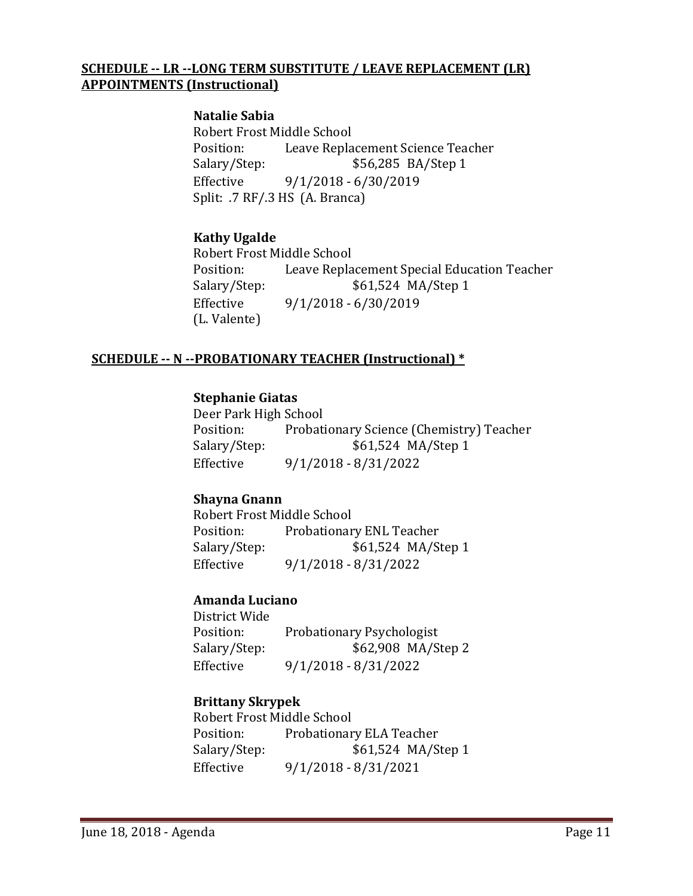### **SCHEDULE -- LR --LONG TERM SUBSTITUTE / LEAVE REPLACEMENT (LR) APPOINTMENTS (Instructional)**

#### **Natalie Sabia**

Robert Frost Middle School<br>Position: Leave Repla Position: Leave Replacement Science Teacher<br>Salary/Step: \$56,285 BA/Step 1 \$56,285 BA/Step 1 Effective 9/1/2018 - 6/30/2019 Split: .7 RF/.3 HS (A. Branca)

### **Kathy Ugalde**

Robert Frost Middle School Position: Leave Replacement Special Education Teacher<br>Salary/Step: \$61,524 MA/Step 1 \$61,524 MA/Step 1 Effective 9/1/2018 - 6/30/2019 (L. Valente)

### **SCHEDULE -- N --PROBATIONARY TEACHER (Instructional) \***

#### **Stephanie Giatas**

Deer Park High School Position: Probationary Science (Chemistry) Teacher<br>Salary/Step: \$61,524 MA/Step 1 \$61,524 MA/Step 1 Effective 9/1/2018 - 8/31/2022

#### **Shayna Gnann**

Robert Frost Middle School<br>Position: Probationar Position: Probationary ENL Teacher<br>Salary/Step: \$61,524 MA/S \$61,524 MA/Step 1 Effective 9/1/2018 - 8/31/2022

#### **Amanda Luciano**

District Wide Position: Probationary Psychologist<br>Salary/Step: \$62,908 MA/S Salary/Step: \$62,908 MA/Step 2<br>Effective 9/1/2018 - 8/31/2022 Effective 9/1/2018 - 8/31/2022

#### **Brittany Skrypek**

Robert Frost Middle School<br>Position: Probationar Position: Probationary ELA Teacher<br>Salary/Step: \$61,524 MA/S \$61,524 MA/Step 1 Effective 9/1/2018 - 8/31/2021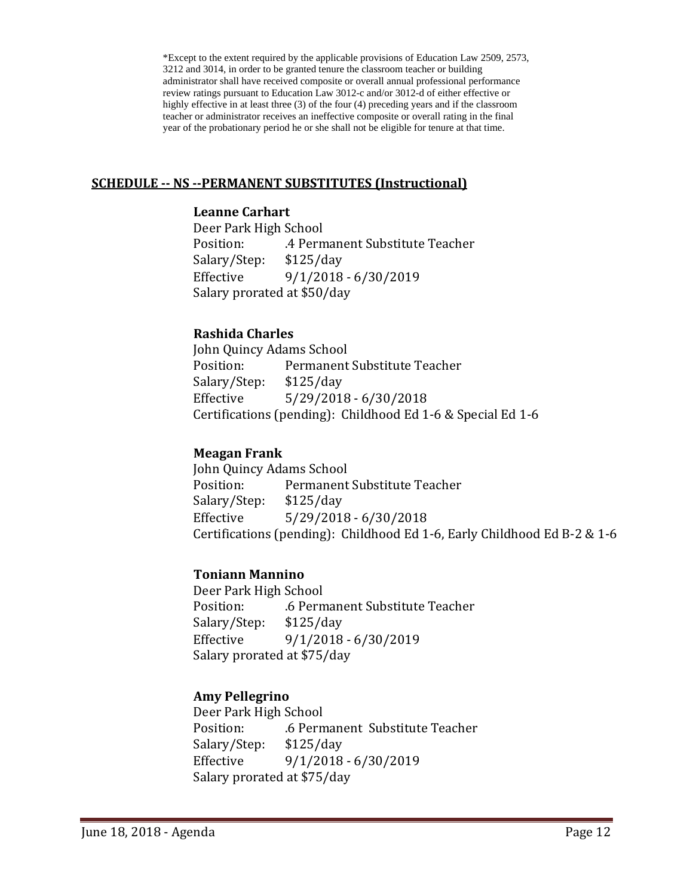\*Except to the extent required by the applicable provisions of Education Law 2509, 2573, 3212 and 3014, in order to be granted tenure the classroom teacher or building administrator shall have received composite or overall annual professional performance review ratings pursuant to Education Law 3012-c and/or 3012-d of either effective or highly effective in at least three (3) of the four (4) preceding years and if the classroom teacher or administrator receives an ineffective composite or overall rating in the final year of the probationary period he or she shall not be eligible for tenure at that time.

#### **SCHEDULE -- NS --PERMANENT SUBSTITUTES (Instructional)**

### **Leanne Carhart**

Deer Park High School .4 Permanent Substitute Teacher<br>\$125/day Salary/Step: Effective 9/1/2018 - 6/30/2019 Salary prorated at \$50/day

### **Rashida Charles**

John Quincy Adams School<br>Position: Permanent Permanent Substitute Teacher<br>\$125/day Salary/Step: Effective 5/29/2018 - 6/30/2018 Certifications (pending): Childhood Ed 1-6 & Special Ed 1-6

### **Meagan Frank**

John Quincy Adams School<br>Position: Permanent Permanent Substitute Teacher<br>\$125/day Salary/Step: Effective 5/29/2018 - 6/30/2018 Certifications (pending): Childhood Ed 1-6, Early Childhood Ed B-2 & 1-6

### **Toniann Mannino**

Deer Park High School .6 Permanent Substitute Teacher<br>\$125/day Salary/Step: Effective 9/1/2018 - 6/30/2019 Salary prorated at \$75/day

### **Amy Pellegrino**

Deer Park High School .6 Permanent Substitute Teacher<br>\$125/day Salary/Step:<br>Effective Effective 9/1/2018 - 6/30/2019 Salary prorated at \$75/day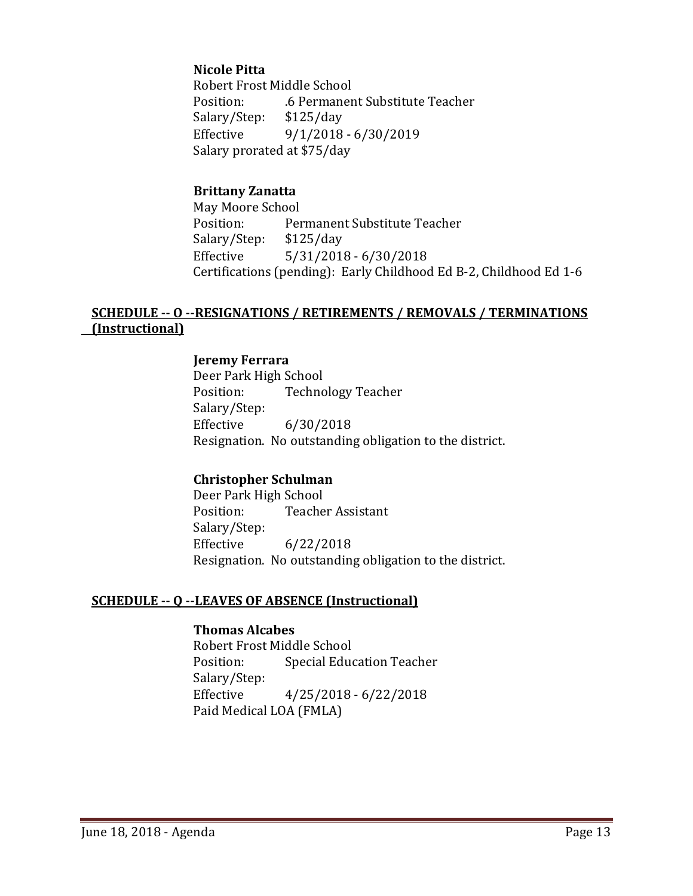### **Nicole Pitta**

Robert Frost Middle School<br>Position: 6 Permaner .6 Permanent Substitute Teacher<br>\$125/day Salary/Step:<br>Effective Effective 9/1/2018 - 6/30/2019 Salary prorated at \$75/day

#### **Brittany Zanatta**

May Moore School<br>Position: Per Permanent Substitute Teacher<br>\$125/day Salary/Step:<br>Effective  $5/31/2018 - 6/30/2018$ Certifications (pending): Early Childhood Ed B-2, Childhood Ed 1-6

### **SCHEDULE -- O --RESIGNATIONS / RETIREMENTS / REMOVALS / TERMINATIONS (Instructional)**

#### **Jeremy Ferrara**

Deer Park High School<br>Position: Techno **Technology Teacher** Salary/Step:<br>Effective  $6/30/2018$ Resignation. No outstanding obligation to the district.

#### **Christopher Schulman**

Deer Park High School<br>Position: Teache **Teacher Assistant** Salary/Step:<br>Effective  $6/22/2018$ Resignation. No outstanding obligation to the district.

#### **SCHEDULE -- Q --LEAVES OF ABSENCE (Instructional)**

### **Thomas Alcabes**

Robert Frost Middle School<br>Position: Special Educ Special Education Teacher Salary/Step:<br>Effective  $4/25/2018 - 6/22/2018$ Paid Medical LOA (FMLA)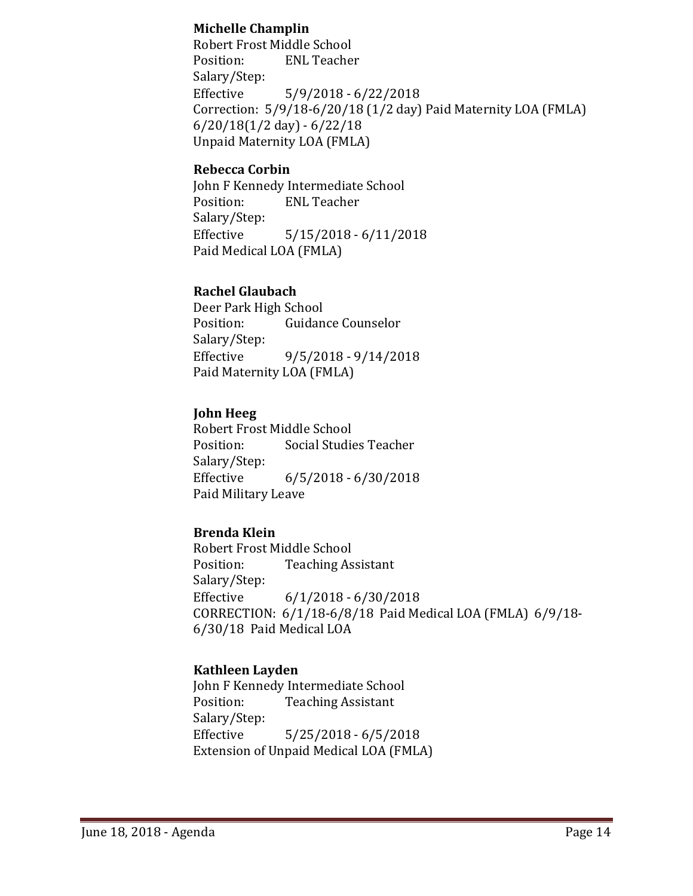### **Michelle Champlin**

Robert Frost Middle School Position: ENL Teacher Salary/Step:<br>Effective  $5/9/2018 - 6/22/2018$ Correction: 5/9/18-6/20/18 (1/2 day) Paid Maternity LOA (FMLA) 6/20/18(1/2 day) - 6/22/18 Unpaid Maternity LOA (FMLA)

### **Rebecca Corbin**

John F Kennedy Intermediate School<br>Position: ENL Teacher **ENL Teacher** Salary/Step: Effective 5/15/2018 - 6/11/2018 Paid Medical LOA (FMLA)

### **Rachel Glaubach**

Deer Park High School<br>Position: Guidan **Guidance Counselor** Salary/Step:<br>Effective  $9/5/2018 - 9/14/2018$ Paid Maternity LOA (FMLA)

### **John Heeg**

Robert Frost Middle School<br>Position: Social Studie Social Studies Teacher Salary/Step: Effective 6/5/2018 - 6/30/2018 Paid Military Leave

### **Brenda Klein**

Robert Frost Middle School<br>Position: Teaching As **Teaching Assistant** Salary/Step:<br>Effective  $6/1/2018 - 6/30/2018$ CORRECTION: 6/1/18-6/8/18 Paid Medical LOA (FMLA) 6/9/18- 6/30/18 Paid Medical LOA

### **Kathleen Layden**

John F Kennedy Intermediate School<br>Position: Teaching Assistant **Teaching Assistant** Salary/Step:<br>Effective  $5/25/2018 - 6/5/2018$ Extension of Unpaid Medical LOA (FMLA)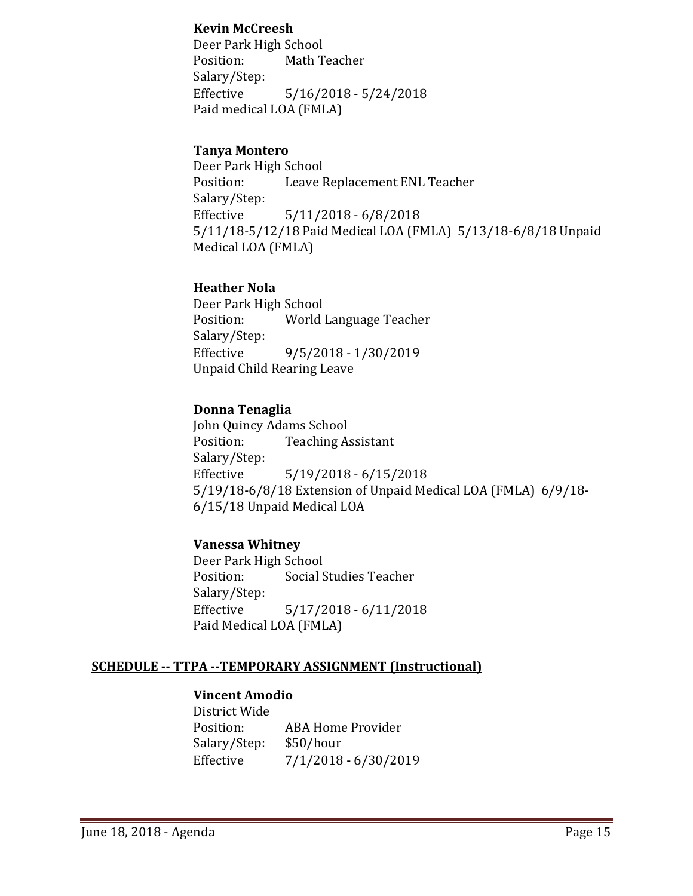#### **Kevin McCreesh**

Deer Park High School<br>Position: Math T Math Teacher Salary/Step:<br>Effective  $5/16/2018 - 5/24/2018$ Paid medical LOA (FMLA)

### **Tanya Montero**

Deer Park High School<br>Position: Leave I Leave Replacement ENL Teacher Salary/Step:<br>Effective  $5/11/2018 - 6/8/2018$ 5/11/18-5/12/18 Paid Medical LOA (FMLA) 5/13/18-6/8/18 Unpaid Medical LOA (FMLA)

### **Heather Nola**

Deer Park High School<br>Position: World World Language Teacher Salary/Step:<br>Effective Effective 9/5/2018 - 1/30/2019 Unpaid Child Rearing Leave

### **Donna Tenaglia**

John Quincy Adams School<br>Position: Teaching A **Teaching Assistant** Salary/Step:<br>Effective  $5/19/2018 - 6/15/2018$ 5/19/18-6/8/18 Extension of Unpaid Medical LOA (FMLA) 6/9/18- 6/15/18 Unpaid Medical LOA

### **Vanessa Whitney**

Deer Park High School<br>Position: Social S Social Studies Teacher Salary/Step:  $5/17/2018 - 6/11/2018$ Paid Medical LOA (FMLA)

#### **SCHEDULE -- TTPA --TEMPORARY ASSIGNMENT (Instructional)**

#### **Vincent Amodio**

District Wide ABA Home Provider<br>\$50/hour Salary/Step:<br>Effective  $7/1/2018 - 6/30/2019$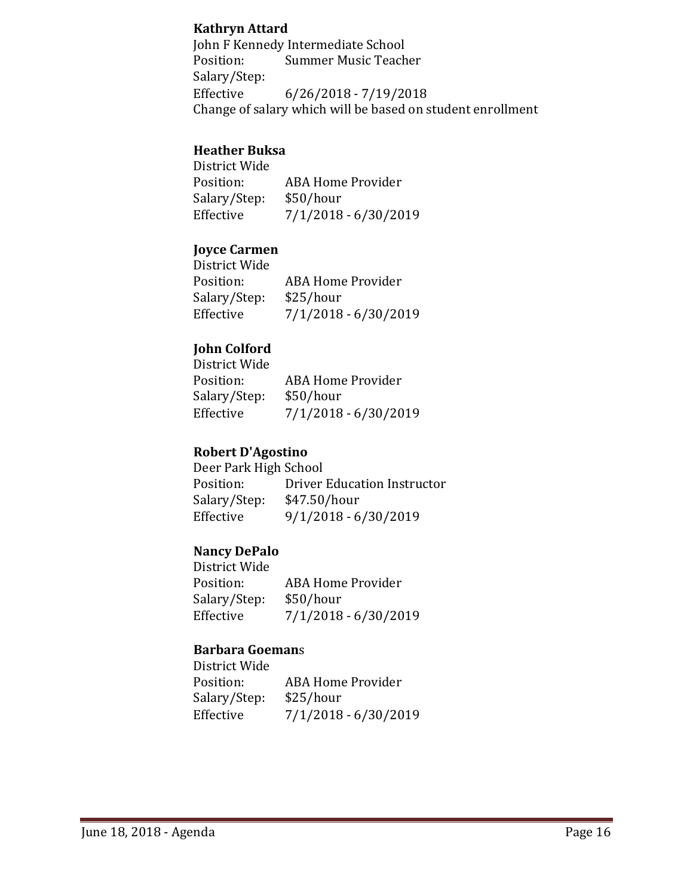### **Kathryn Attard**

John F Kennedy Intermediate School<br>Position: Summer Music Teach Summer Music Teacher Salary/Step:  $6/26/2018 - 7/19/2018$ Change of salary which will be based on student enrollment

### **Heather Buksa**

District Wide ABA Home Provider<br>\$50/hour Salary/Step:<br>Effective  $7/1/2018 - 6/30/2019$ 

### **Joyce Carmen**

| District Wide |                          |
|---------------|--------------------------|
| Position:     | <b>ABA Home Provider</b> |
| Salary/Step:  | \$25/hour                |
| Effective     | $7/1/2018 - 6/30/2019$   |
|               |                          |

### **John Colford**

| <b>ABA Home Provider</b> |
|--------------------------|
| \$50/hour                |
| $7/1/2018 - 6/30/2019$   |
|                          |

#### **Robert D'Agostino**

Deer Park High School<br>Position: Driver Driver Education Instructor<br>\$47.50/hour Salary/Step:<br>Effective  $9/1/2018 - 6/30/2019$ 

### **Nancy DePalo**

District Wide ABA Home Provider<br>\$50/hour Salary/Step:<br>Effective  $7/1/2018 - 6/30/2019$ 

#### **Barbara Goeman**s

District Wide ABA Home Provider Salary/Step: \$25/hour Effective 7/1/2018 - 6/30/2019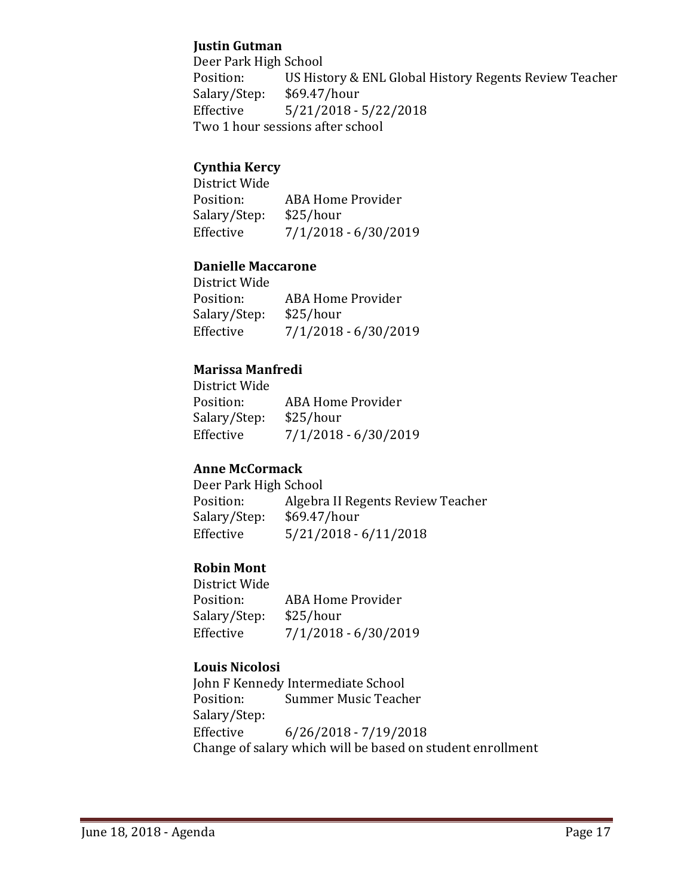### **Justin Gutman**

Deer Park High School<br>Position: US Hist US History & ENL Global History Regents Review Teacher \$69.47/hour Salary/Step:<br>Effective  $5/21/2018 - 5/22/2018$ Two 1 hour sessions after school

### **Cynthia Kercy**

District Wide ABA Home Provider<br>\$25/hour Salary/Step:<br>Effective  $7/1/2018 - 6/30/2019$ 

### **Danielle Maccarone**

| ABA Home Provider      |
|------------------------|
| \$25/hour              |
| $7/1/2018 - 6/30/2019$ |
|                        |

### **Marissa Manfredi**

| <b>ABA Home Provider</b> |
|--------------------------|
| \$25/hour                |
| $7/1/2018 - 6/30/2019$   |
|                          |

#### **Anne McCormack**

Deer Park High School<br>Position: Algebra Algebra II Regents Review Teacher<br>\$69.47/hour Salary/Step: Effective 5/21/2018 - 6/11/2018

### **Robin Mont**

District Wide<br>Position: ABA Home Provider<br>\$25/hour Salary/Step:<br>Effective  $7/1/2018 - 6/30/2019$ 

### **Louis Nicolosi**

John F Kennedy Intermediate School<br>Position: Summer Music Teach **Summer Music Teacher** Salary/Step:<br>Effective  $6/26/2018 - 7/19/2018$ Change of salary which will be based on student enrollment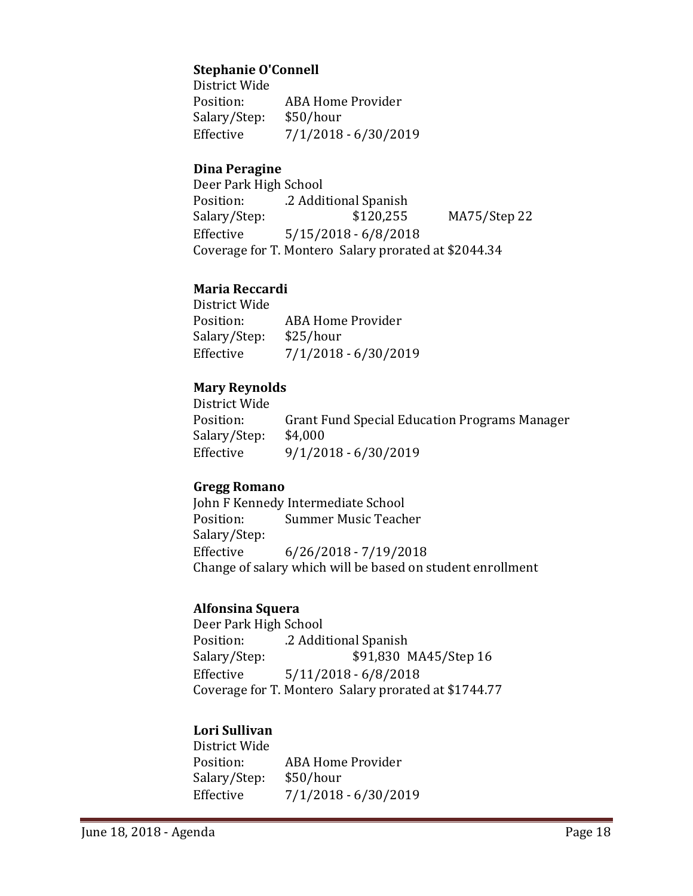### **Stephanie O'Connell**

District Wide ABA Home Provider<br>\$50/hour Salary/Step:<br>Effective  $7/1/2018 - 6/30/2019$ 

### **Dina Peragine**

Deer Park High School Position: .2 Additional Spanish<br>Salary/Step: \$120,255 MA75/Step 22 Effective 5/15/2018 - 6/8/2018 Coverage for T. Montero Salary prorated at \$2044.34

### **Maria Reccardi**

District Wide ABA Home Provider<br>\$25/hour Salary/Step: Effective 7/1/2018 - 6/30/2019

### **Mary Reynolds**

District Wide Grant Fund Special Education Programs Manager<br>\$4,000 Salary/Step: Effective 9/1/2018 - 6/30/2019

#### **Gregg Romano**

John F Kennedy Intermediate School<br>Position: Summer Music Teach Summer Music Teacher Salary/Step: Effective 6/26/2018 - 7/19/2018 Change of salary which will be based on student enrollment

#### **Alfonsina Squera**

Deer Park High School Position: .2 Additional Spanish<br>Salary/Step: \$91,830 1 \$91,830 MA45/Step 16 Effective 5/11/2018 - 6/8/2018 Coverage for T. Montero Salary prorated at \$1744.77

### **Lori Sullivan**

District Wide ABA Home Provider<br>\$50/hour Salary/Step:<br>Effective Effective 7/1/2018 - 6/30/2019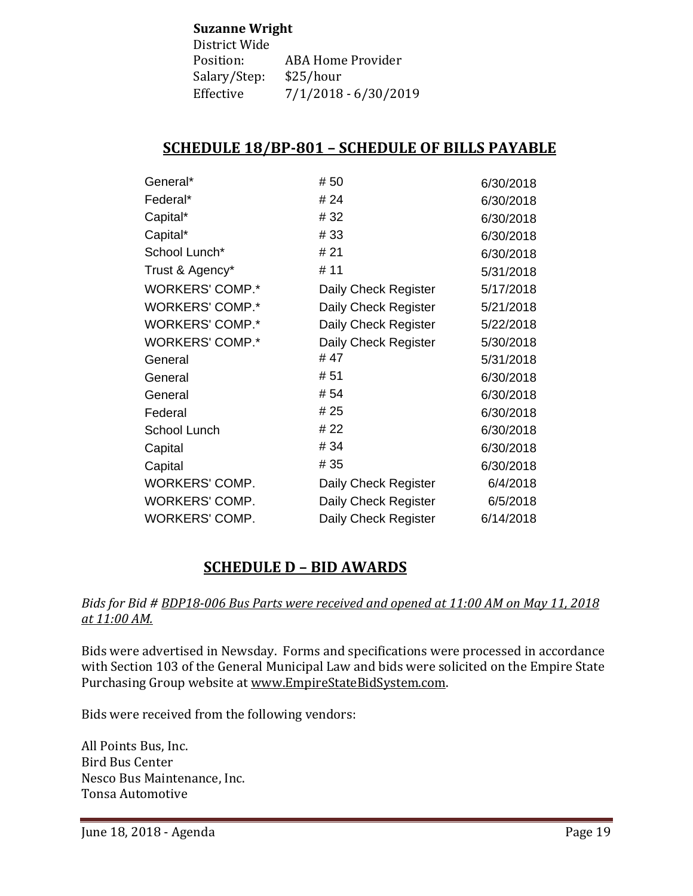#### **Suzanne Wright**

| <b>ABA Home Provider</b> |
|--------------------------|
|                          |
| 7/1/2018 - 6/30/2019     |
|                          |

# **SCHEDULE 18/BP-801 – SCHEDULE OF BILLS PAYABLE**

| General*               | #50                  | 6/30/2018 |
|------------------------|----------------------|-----------|
| Federal*               | # 24                 | 6/30/2018 |
| Capital*               | #32                  | 6/30/2018 |
| Capital*               | #33                  | 6/30/2018 |
| School Lunch*          | # 21                 | 6/30/2018 |
| Trust & Agency*        | # 11                 | 5/31/2018 |
| WORKERS' COMP.*        | Daily Check Register | 5/17/2018 |
| <b>WORKERS' COMP.*</b> | Daily Check Register | 5/21/2018 |
| <b>WORKERS' COMP.*</b> | Daily Check Register | 5/22/2018 |
| <b>WORKERS' COMP.*</b> | Daily Check Register | 5/30/2018 |
| General                | # 47                 | 5/31/2018 |
| General                | #51                  | 6/30/2018 |
| General                | # 54                 | 6/30/2018 |
| Federal                | # 25                 | 6/30/2018 |
| School Lunch           | # 22                 | 6/30/2018 |
| Capital                | # 34                 | 6/30/2018 |
| Capital                | # 35                 | 6/30/2018 |
| WORKERS' COMP.         | Daily Check Register | 6/4/2018  |
| WORKERS' COMP.         | Daily Check Register | 6/5/2018  |
| <b>WORKERS' COMP.</b>  | Daily Check Register | 6/14/2018 |

# **SCHEDULE D – BID AWARDS**

### *Bids for Bid # BDP18-006 Bus Parts were received and opened at 11:00 AM on May 11, 2018 at 11:00 AM.*

Bids were advertised in Newsday. Forms and specifications were processed in accordance with Section 103 of the General Municipal Law and bids were solicited on the Empire State Purchasing Group website at [www.EmpireStateBidSystem.com.](http://www.empirestatebidsystem.com/)

Bids were received from the following vendors:

All Points Bus, Inc. Bird Bus Center Nesco Bus Maintenance, Inc. Tonsa Automotive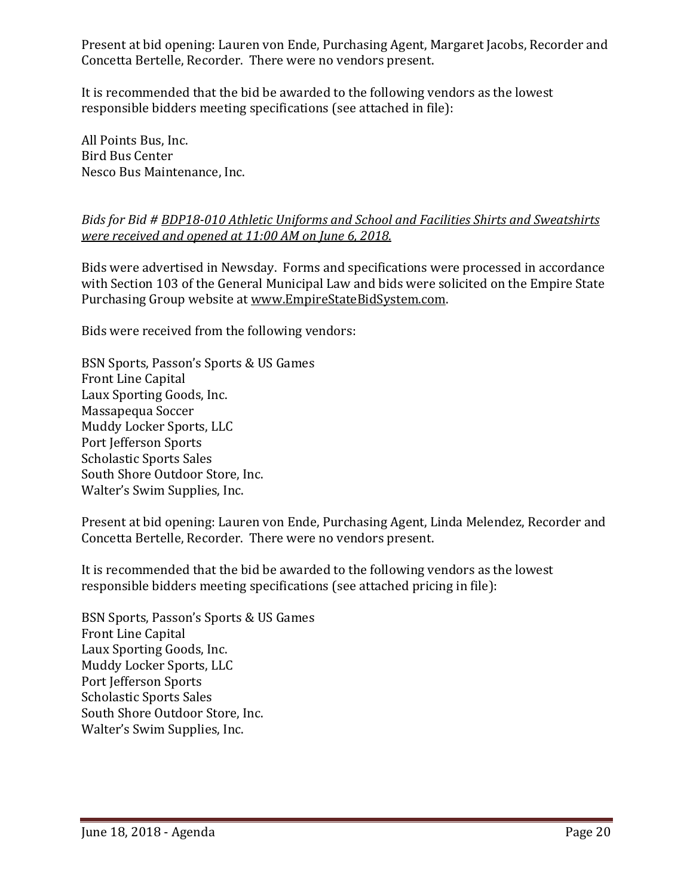Present at bid opening: Lauren von Ende, Purchasing Agent, Margaret Jacobs, Recorder and Concetta Bertelle, Recorder. There were no vendors present.

It is recommended that the bid be awarded to the following vendors as the lowest responsible bidders meeting specifications (see attached in file):

All Points Bus, Inc. Bird Bus Center Nesco Bus Maintenance, Inc.

### *Bids for Bid # BDP18-010 Athletic Uniforms and School and Facilities Shirts and Sweatshirts were received and opened at 11:00 AM on June 6, 2018.*

Bids were advertised in Newsday. Forms and specifications were processed in accordance with Section 103 of the General Municipal Law and bids were solicited on the Empire State Purchasing Group website at [www.EmpireStateBidSystem.com.](http://www.empirestatebidsystem.com/)

Bids were received from the following vendors:

BSN Sports, Passon's Sports & US Games Front Line Capital Laux Sporting Goods, Inc. Massapequa Soccer Muddy Locker Sports, LLC Port Jefferson Sports Scholastic Sports Sales South Shore Outdoor Store, Inc. Walter's Swim Supplies, Inc.

Present at bid opening: Lauren von Ende, Purchasing Agent, Linda Melendez, Recorder and Concetta Bertelle, Recorder. There were no vendors present.

It is recommended that the bid be awarded to the following vendors as the lowest responsible bidders meeting specifications (see attached pricing in file):

BSN Sports, Passon's Sports & US Games Front Line Capital Laux Sporting Goods, Inc. Muddy Locker Sports, LLC Port Jefferson Sports Scholastic Sports Sales South Shore Outdoor Store, Inc. Walter's Swim Supplies, Inc.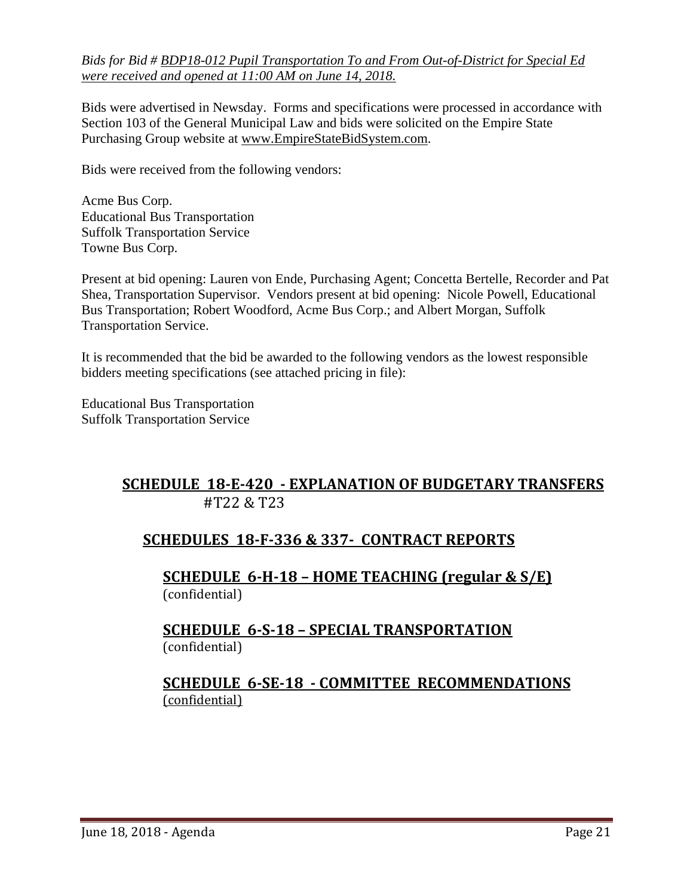*Bids for Bid # BDP18-012 Pupil Transportation To and From Out-of-District for Special Ed were received and opened at 11:00 AM on June 14, 2018.*

Bids were advertised in Newsday. Forms and specifications were processed in accordance with Section 103 of the General Municipal Law and bids were solicited on the Empire State Purchasing Group website at [www.EmpireStateBidSystem.com.](http://www.empirestatebidsystem.com/)

Bids were received from the following vendors:

Acme Bus Corp. Educational Bus Transportation Suffolk Transportation Service Towne Bus Corp.

Present at bid opening: Lauren von Ende, Purchasing Agent; Concetta Bertelle, Recorder and Pat Shea, Transportation Supervisor. Vendors present at bid opening: Nicole Powell, Educational Bus Transportation; Robert Woodford, Acme Bus Corp.; and Albert Morgan, Suffolk Transportation Service.

It is recommended that the bid be awarded to the following vendors as the lowest responsible bidders meeting specifications (see attached pricing in file):

Educational Bus Transportation Suffolk Transportation Service

# **SCHEDULE 18-E-420 - EXPLANATION OF BUDGETARY TRANSFERS** #T22 & T23

# **SCHEDULES 18-F-336 & 337- CONTRACT REPORTS**

**SCHEDULE 6-H-18 – HOME TEACHING (regular & S/E)**  (confidential)

### **SCHEDULE 6-S-18 – SPECIAL TRANSPORTATION**  (confidential)

# **SCHEDULE 6-SE-18 - COMMITTEE RECOMMENDATIONS** (confidential)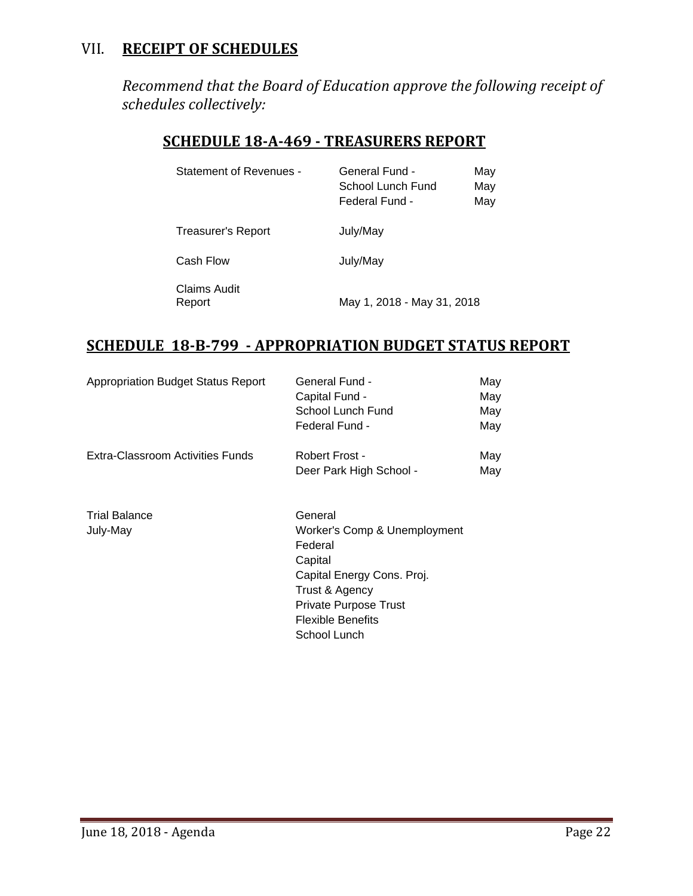# VII. **RECEIPT OF SCHEDULES**

*Recommend that the Board of Education approve the following receipt of schedules collectively:*

# **SCHEDULE 18-A-469 - TREASURERS REPORT**

| <b>Statement of Revenues -</b> | General Fund -<br>School Lunch Fund<br>Federal Fund - | May<br>Mav<br>May |
|--------------------------------|-------------------------------------------------------|-------------------|
| Treasurer's Report             | July/May                                              |                   |
| Cash Flow                      | July/May                                              |                   |
| Claims Audit<br>Report         | May 1, 2018 - May 31, 2018                            |                   |

# **SCHEDULE 18-B-799 - APPROPRIATION BUDGET STATUS REPORT**

| <b>Appropriation Budget Status Report</b> | General Fund -               | May |
|-------------------------------------------|------------------------------|-----|
|                                           | Capital Fund -               | May |
|                                           | School Lunch Fund            | May |
|                                           | Federal Fund -               | May |
| Extra-Classroom Activities Funds          | Robert Frost -               | May |
|                                           | Deer Park High School -      | May |
| <b>Trial Balance</b>                      | General                      |     |
| July-May                                  | Worker's Comp & Unemployment |     |
|                                           | Federal                      |     |
|                                           | Capital                      |     |
|                                           | Capital Energy Cons. Proj.   |     |
|                                           | Trust & Agency               |     |
|                                           | Private Purpose Trust        |     |
|                                           | <b>Flexible Benefits</b>     |     |
|                                           | School Lunch                 |     |